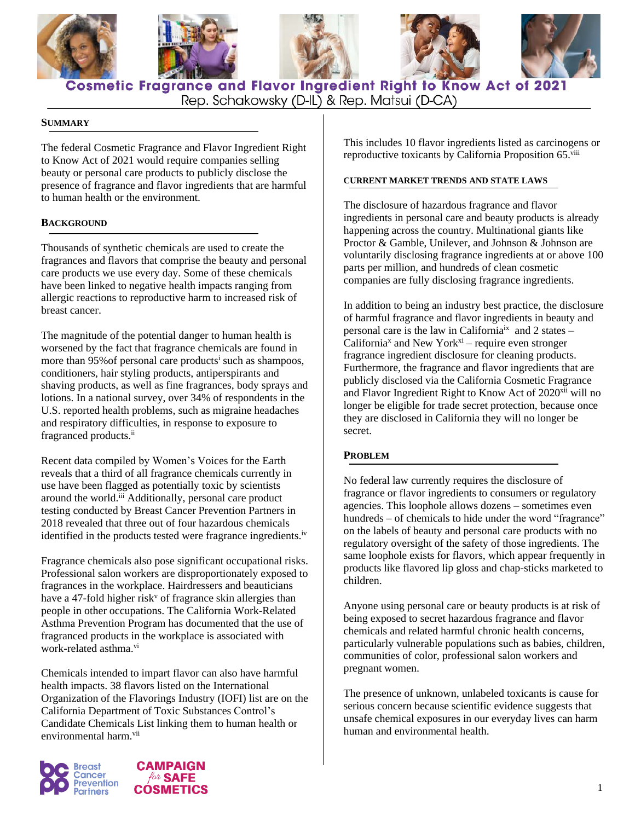

**Cosmetic Fragrance and Flavor Ingredient Right to Know Act of 2021** Rep. Schakowsky (D-IL) & Rep. Matsui (D-CA)

### **SUMMARY**

The federal Cosmetic Fragrance and Flavor Ingredient Right to Know Act of 2021 would require companies selling beauty or personal care products to publicly disclose the presence of fragrance and flavor ingredients that are harmful to human health or the environment.

# **BACKGROUND**

Thousands of synthetic chemicals are used to create the fragrances and flavors that comprise the beauty and personal care products we use every day. Some of these chemicals have been linked to negative health impacts ranging from allergic reactions to reproductive harm to increased risk of breast cancer.

The magnitude of the potential danger to human health is worsened by the fact that fragrance chemicals are found in more than 95% of personal care products<sup>i</sup> such as shampoos, conditioners, hair styling products, antiperspirants and shaving products, as well as fine fragrances, body sprays and lotions. In a national survey, over 34% of respondents in the U.S. reported health problems, such as migraine headaches and respiratory difficulties, in response to exposure to fragranced products.<sup>ii</sup>

Recent data compiled by Women's Voices for the Earth reveals that a third of all fragrance chemicals currently in use have been flagged as potentially toxic by scientists around the world.iii Additionally, personal care product testing conducted by Breast Cancer Prevention Partners in 2018 revealed that three out of four hazardous chemicals identified in the products tested were fragrance ingredients.<sup>iv</sup>

Fragrance chemicals also pose significant occupational risks. Professional salon workers are disproportionately exposed to fragrances in the workplace. Hairdressers and beauticians have a 47-fold higher risk<sup>v</sup> of fragrance skin allergies than people in other occupations. The California Work-Related Asthma Prevention Program has documented that the use of fragranced products in the workplace is associated with work-related asthma.<sup>vi</sup>

Chemicals intended to impart flavor can also have harmful health impacts. 38 flavors listed on the International Organization of the Flavorings Industry (IOFI) list are on the California Department of Toxic Substances Control's Candidate Chemicals List linking them to human health or environmental harm.<sup>vii</sup>





This includes 10 flavor ingredients listed as carcinogens or reproductive toxicants by California Proposition 65.viii

#### **CURRENT MARKET TRENDS AND STATE LAWS**

The disclosure of hazardous fragrance and flavor ingredients in personal care and beauty products is already happening across the country. Multinational giants like Proctor & Gamble, Unilever, and Johnson & Johnson are voluntarily disclosing fragrance ingredients at or above 100 parts per million, and hundreds of clean cosmetic companies are fully disclosing fragrance ingredients.

In addition to being an industry best practice, the disclosure of harmful fragrance and flavor ingredients in beauty and personal care is the law in California<sup>ix</sup> and 2 states –  $California<sup>x</sup>$  and New York<sup>xi</sup> – require even stronger fragrance ingredient disclosure for cleaning products. Furthermore, the fragrance and flavor ingredients that are publicly disclosed via the California Cosmetic Fragrance and Flavor Ingredient Right to Know Act of 2020<sup>xii</sup> will no longer be eligible for trade secret protection, because once they are disclosed in California they will no longer be secret.

### **PROBLEM**

No federal law currently requires the disclosure of fragrance or flavor ingredients to consumers or regulatory agencies. This loophole allows dozens – sometimes even hundreds – of chemicals to hide under the word "fragrance" on the labels of beauty and personal care products with no regulatory oversight of the safety of those ingredients. The same loophole exists for flavors, which appear frequently in products like flavored lip gloss and chap-sticks marketed to children.

Anyone using personal care or beauty products is at risk of being exposed to secret hazardous fragrance and flavor chemicals and related harmful chronic health concerns, particularly vulnerable populations such as babies, children, communities of color, professional salon workers and pregnant women.

The presence of unknown, unlabeled toxicants is cause for serious concern because scientific evidence suggests that unsafe chemical exposures in our everyday lives can harm human and environmental health.